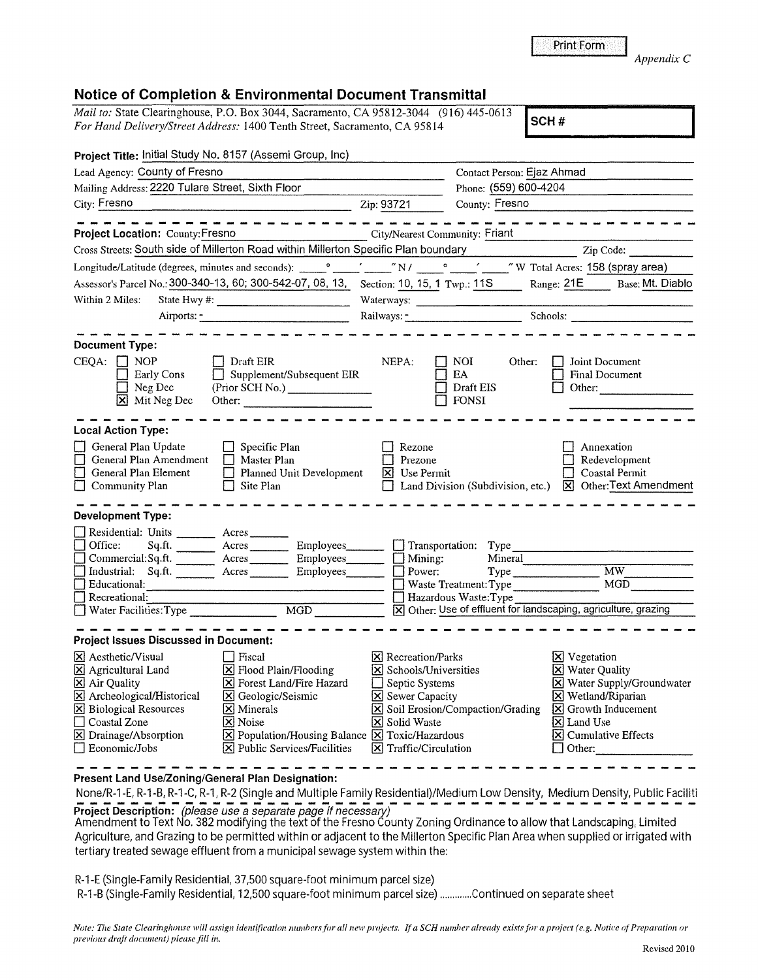**[8]** Land Use

**[8]** Cumulative Effects D Other: -------

## **Project Title:** Initial Study No. 8157 (Assemi Group, Inc) Lead Agency: County of Fresno Contact Person: Ejaz Ahmad Contact Person: Ejaz Ahmad Mailing Address: 2220 Tulare Street, Sixth Floor City: Fresno Phone: (559) 600-4204 Zip: 93721 County: Fresno Fresno<br>
— — — — — — — — — — — — — — — — — **Project Location:** County:Fresno **City/Nearest Community: Friant** Cross Streets: South side of Millerton Road within Millerton Specific Plan boundary Zip Code: Zip Code: Longitude/Latitude (degrees, minutes and seconds): \_\_ 0 \_\_ '\_\_ " N / \_\_ 0 \_\_ , \_\_ " W Total Acres: 158 (spray area) Assessor's Parcel No.: 300-340-13, 60; 300-542-07, 08, 13, Section: 10, 15, 1 Twp.: 11 S Range: 21 E Base: Mt. Diablo Within 2 Mites: State Hwy#: \_\_\_\_\_\_\_\_\_ \_ Airports:------------- Section:  $\frac{10, 10, 1}{1}$  Twp.:  $\frac{119}{100}$  Range:  $\frac{212}{100}$  Base. Mt. Diab Railways:\_-\_\_\_\_\_\_\_\_ \_ Schools: \_\_\_\_\_\_\_\_ \_ **Document Type:**   $CEQA: \n\begin{array}{ccc}\n\Box & \text{NOP} \\
\Box & \text{En} \\
\Box & \text{Exrlv Cons}\n\end{array}$   $\begin{array}{ccc}\n\Box & \text{Draft EIR} \\
\Box & \text{NEPA}: \\
\Box & \text{EAA}\n\end{array}$   $\begin{array}{ccc}\n\Box & \text{Other:} \\
\Box & \text{Ioint Document/Subsequent EIR} \\
\Box & \text{EAA}\n\end{array}$   $\begin{array}{ccc}\n\Box & \text{Ioint Document/Subsequent EIR} \\
\Box & \text{Eval D} \\
\Box & \text{Eval D} \\
\end{array}$ Early Cons<br>
Early Cons<br>
Observed Britis Principlement/Subsequent EIR<br>
Draft EIS Final Document ■ Neg Dec (Prior SCH No.) ■ Draft EIS □ Other:<br>
■ Neg Dec (Prior SCH No.) ■ Draft EIS □ Other:  $\overline{\mathbf{X}}$  Mit Neg Dec Other:  $\overline{\mathbf{S}}$  FONSI -------- - - - - - - - - - - - - - - - - - ------- - - - - **Local Action Type:**  Officer Channel Beach Contact Channel Beach Channel Channel Beach Channel Channel Channel Channel Channel Channel Channel Channel Channel Channel Channel Channel Channel Channel Channel Channel Channel Channel Channel Chan • General Plan Amendment Dental Plan • Prezone • Constal Permit Dental Plan Flement Dental Prezone • Redevelopment D<br>
Ceneral Plan Element Denned Unit Development R Use Permit Density Density Redevelopment ■ General Plan Element Development Development Duse Permit Development Duse Permit Development Duse Permit Duse Permit Duse Permit Development Duse Permit Duse Permit Duse Permit Duse Permit Duse Permit Duse Plan Division ■• Community Plan → Site Plan → Community Plan → Site Plan → Land Division (Subdivision, etc.) 2 Other: Text Amendment Dev  $\Box$  Residential: Units \_\_\_\_\_\_\_\_\_ Acres \_\_\_\_\_\_\_ <sup>0</sup>Office: Sq.ft. --- • Commercial:Sq.ft. Units Acres Acres Employees Department of Type Contract Contract Contract Contract Contract Contract Contract Contract Contract Contract Contract Contract Contract Contract Contract Contract Contract Contract Contract Con Acres \_\_ \_ Employees \_\_ \_ • Mining: Mineral ------------- --- Acres \_\_ \_ Employees \_\_ \_ • Power: Type \_\_\_\_\_\_\_ MW \_\_\_\_ \_ <u>Computed and Bourdary Computer Computer Computer Computer Computer Computer Computer Computer Computer Computer Computer Computer Computer Computer Computer Computer Computer Computer Computer Computer Computer Computer</u> <sup>0</sup>Water Facilities:Type \_\_\_\_\_\_ \_ MGD **181** Other: Use of effluent for landscaping, agriculture, grazing ----- **Project Issues Discussed in Document: <sup>181</sup>**AestheticNisual D Fiscal **181** Recreation/Parks **<sup>181</sup>**Agricultural Land [8] Flood Plain/Flooding **[8]** Schools/Universities  $\overline{8}$  Air Quality  $\overline{8}$  Forest Land/Fire Hazard  $\overline{1}$  Septic Systems **[8]** Vegetation lity  $p$  **[**Water Supply/Groundwater **[8]** Wetland/Ripaiian

## **Notice of Completion & Environmental Document Transmittal**

*Mail to:* State Clearinghouse, P.O. Box 3044, Sacramento, CA 95812-3044 (916) 445-0613 *For Hand Delivery/Street Address:* 1400 Tenth Street, Sacramento, CA 95814 **SCH #** 

Print Form

*Appendix* C

| AIIDOIIS: <sup>-</sup><br>٠ |  |
|-----------------------------|--|
|                             |  |

| <b>Document Type:</b><br>CEQA:<br>$\Box$ NOP<br>Early Cons<br>Neg Dec<br>Ι×Ι<br>Mit Neg Dec                                                                                                | Draft EIR<br>Supplement/Subsequent EIR<br>(Prior SCH No.) ________________                                 | NEPA:<br>NOI<br>Other:<br>EA<br>Draft EIS<br><b>FONSI</b>                                                                                                                                | Joint Document<br><b>Final Document</b><br>Other:                                                                                |
|--------------------------------------------------------------------------------------------------------------------------------------------------------------------------------------------|------------------------------------------------------------------------------------------------------------|------------------------------------------------------------------------------------------------------------------------------------------------------------------------------------------|----------------------------------------------------------------------------------------------------------------------------------|
| <b>Local Action Type:</b>                                                                                                                                                                  |                                                                                                            |                                                                                                                                                                                          |                                                                                                                                  |
| General Plan Update<br>General Plan Amendment<br>General Plan Element<br>$\Box$ Community Plan                                                                                             | Specific Plan<br>Master Plan<br>Planned Unit Development<br>Site Plan<br>$\vert$ $\vert$                   | Rezone<br>Prezone<br>Use Permit<br>$\vert x \vert$<br>Land Division (Subdivision, etc.)                                                                                                  | Annexation<br>Redevelopment<br>Coastal Permit<br>X Other: Text Amer                                                              |
| Development Type:                                                                                                                                                                          |                                                                                                            |                                                                                                                                                                                          |                                                                                                                                  |
| Residential: Units<br>$\Box$ Office:<br>Sq.fit.<br>Commercial:Sq.ft.<br>Industrial: Sq.ft. ________ Acres _______<br>Educational:<br>$\Box$ Recreational:<br>$\Box$ Water Facilities: Type | Acres<br>Acres Employees<br>Acres<br>Employees<br><b>Employees</b><br>$\overline{MGD}$                     | $\Box$ Transportation:<br>Type<br>Mining:<br>Mineral<br>Power:<br>Type<br>Waste Treatment: Type<br>Hazardous Waste: Type<br>X Other: Use of effluent for landscaping, agriculture, grazi | <b>MW</b><br>MGD                                                                                                                 |
| <b>Project Issues Discussed in Document:</b>                                                                                                                                               |                                                                                                            |                                                                                                                                                                                          |                                                                                                                                  |
| $\boxtimes$ Aesthetic/Visual<br>X Agricultural Land<br>X Air Quality<br>X Archeological/Historical<br><b>X</b> Biological Resources                                                        | Fiscal<br>$X$ Flood Plain/Flooding<br><b>X</b> Forest Land/Fire Hazard<br>S Geologic/Seismic<br>X Minerals | <b>X</b> Recreation/Parks<br>X Schools/Universities<br>Septic Systems<br><b>X</b> Sewer Capacity<br><b>X</b> Soil Erosion/Compaction/Grading                                             | <b>X</b> Vegetation<br>X Water Quality<br>X Water Supply/Grour<br>$X$ Wetland/Riparian<br>$\boxed{\mathbf{X}}$ Growth Inducement |

**Present Land Use/Zoning/General Plan Designation:** 

*previous draji dornment) please* fill *in.* 

None/R-1-E, R-1-B, R-1-C, R-1, R-2 (Single and Multiple Family Residential)/Medium Low Density, Medium Density, Public Faciliti<br>Project Description: (please use a separate page if necessary)

**Project Description:** (please use a separate page if necessary)<br>Amendment to Text No. 382 modifying the text of the Fresno County Zoning Ordinance to allow that Landscaping, Limited Agriculture, and Grazing to be permitted within or adjacent to the Millerton Specific Plan Area when supplied or irrigated with tertiary treated sewage effluent from a municipal sewage system within the:

R-1-E (Single-Family Residential, 37,500 square-foot minimum parcel size)

Coastal Zone **[8]** Noise **181 Solid Waste [8]** Solid Waste **[8]** Drainage/Absorption **181 Population/Housing Balance [8]** Toxic/Hazard

D Economic/Jobs **[8]** Public Services/Facilities **181** Traffic/Circulation

R-1-B (Single-Family Residential, 12,500 square-foot minimum parcel size) ............. Continued on separate sheet

**[8]** Population/Housing Balance **[8]** Toxic/Hazardous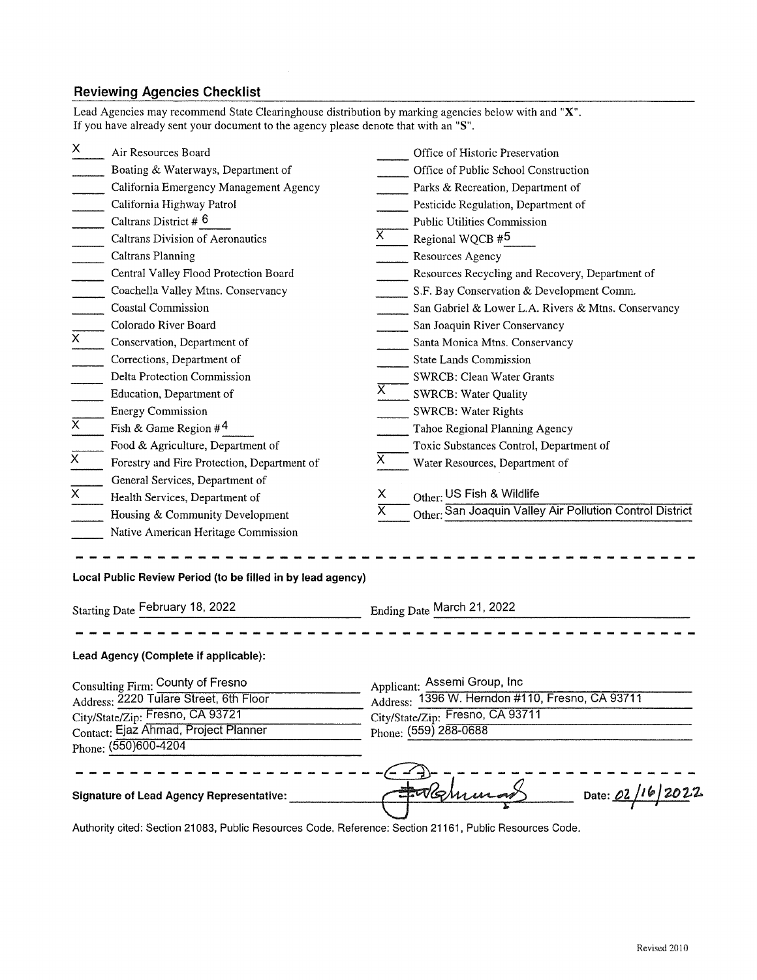## **Reviewing Agencies Checklist**

Lead Agencies may recommend State Clearinghouse distribution by marking agencies below with and **"X".**  If you have already sent your document to the agency please denote that with an **"S".** 

| X                                                                                                           | Air Resources Board                                         |                         | Office of Historic Preservation                          |
|-------------------------------------------------------------------------------------------------------------|-------------------------------------------------------------|-------------------------|----------------------------------------------------------|
|                                                                                                             | Boating & Waterways, Department of                          |                         | Office of Public School Construction                     |
|                                                                                                             | California Emergency Management Agency                      |                         | Parks & Recreation, Department of                        |
|                                                                                                             | California Highway Patrol                                   |                         | Pesticide Regulation, Department of                      |
|                                                                                                             | Caltrans District # 6                                       |                         | <b>Public Utilities Commission</b>                       |
|                                                                                                             | Caltrans Division of Aeronautics                            | X                       | Regional WQCB #5                                         |
|                                                                                                             | <b>Caltrans Planning</b>                                    |                         | Resources Agency                                         |
|                                                                                                             | Central Valley Flood Protection Board                       |                         | Resources Recycling and Recovery, Department of          |
|                                                                                                             | Coachella Valley Mtns. Conservancy                          |                         | S.F. Bay Conservation & Development Comm.                |
|                                                                                                             | <b>Coastal Commission</b>                                   |                         | San Gabriel & Lower L.A. Rivers & Mtns. Conservancy      |
|                                                                                                             | Colorado River Board                                        |                         | San Joaquin River Conservancy                            |
| $\overline{x}$                                                                                              | Conservation, Department of                                 |                         | Santa Monica Mtns. Conservancy                           |
|                                                                                                             | Corrections, Department of                                  |                         | <b>State Lands Commission</b>                            |
|                                                                                                             | Delta Protection Commission                                 |                         | <b>SWRCB: Clean Water Grants</b>                         |
|                                                                                                             | Education, Department of                                    | X.                      | <b>SWRCB: Water Quality</b>                              |
|                                                                                                             | <b>Energy Commission</b>                                    |                         | <b>SWRCB: Water Rights</b>                               |
| $\overline{x}$                                                                                              | Fish & Game Region $#^4$                                    |                         | Tahoe Regional Planning Agency                           |
|                                                                                                             | Food & Agriculture, Department of                           |                         | Toxic Substances Control, Department of                  |
| $\overline{x}$                                                                                              | Forestry and Fire Protection, Department of                 | х                       | Water Resources, Department of                           |
|                                                                                                             | General Services, Department of                             |                         |                                                          |
| Χ                                                                                                           | Health Services, Department of                              | х                       | Other: US Fish & Wildlife                                |
|                                                                                                             | Housing & Community Development                             | $\overline{\mathsf{x}}$ | Other: San Joaquin Valley Air Pollution Control District |
|                                                                                                             | Native American Heritage Commission                         |                         |                                                          |
|                                                                                                             | Local Public Review Period (to be filled in by lead agency) |                         |                                                          |
|                                                                                                             | <b>Starting Date February 18, 2022</b>                      |                         | Ending Date March 21, 2022                               |
|                                                                                                             | Lead Agency (Complete if applicable):                       |                         |                                                          |
|                                                                                                             |                                                             |                         |                                                          |
| Applicant: Assemi Group, Inc<br>Consulting Firm: County of Fresno<br>Address: 2220 Tulare Street, 6th Floor |                                                             |                         | Address: 1396 W. Herndon #110, Fresno, CA 93711          |
|                                                                                                             | City/State/Zip: Fresno, CA 93721                            |                         | City/State/Zip: Fresno, CA 93711                         |
| Contact: Ejaz Ahmad, Project Planner<br>Phone: (559) 288-0688                                               |                                                             |                         |                                                          |
|                                                                                                             | Phone: (550)600-4204                                        |                         |                                                          |
|                                                                                                             |                                                             |                         |                                                          |
|                                                                                                             | <b>Signature of Lead Agency Representative:</b>             |                         | Date: 02/16/2022<br>UG N                                 |
|                                                                                                             | itian 01000. Dublin Dagarraga                               |                         |                                                          |

Authority cited: Section 21083, Public Resources Code. Reference: Section 21161, Public Resources Code.